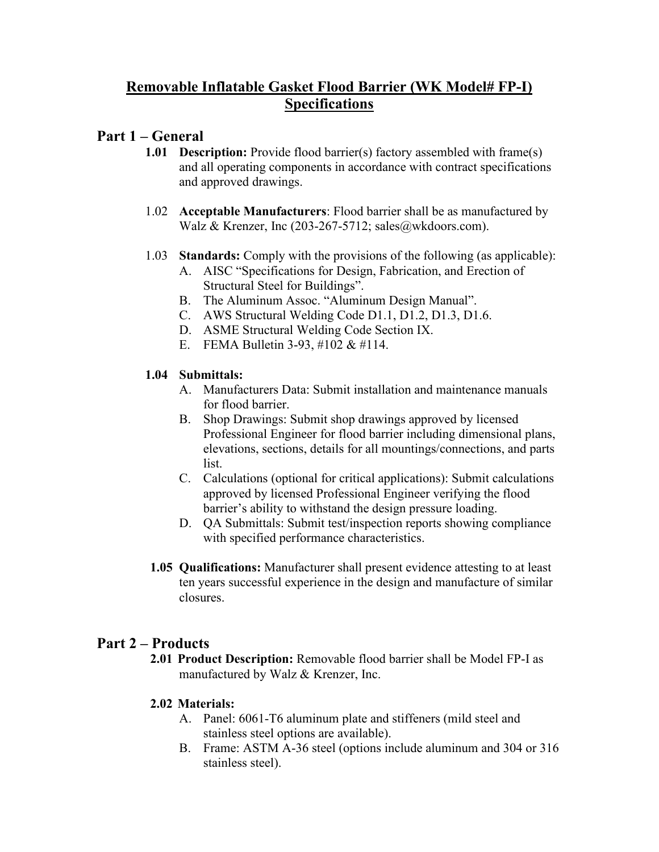# **Removable Inflatable Gasket Flood Barrier (WK Model# FP-I) Specifications**

# **Part 1 – General**

- **1.01 Description:** Provide flood barrier(s) factory assembled with frame(s) and all operating components in accordance with contract specifications and approved drawings.
- 1.02 **Acceptable Manufacturers**: Flood barrier shall be as manufactured by Walz & Krenzer, Inc (203-267-5712; sales@wkdoors.com).
- 1.03 **Standards:** Comply with the provisions of the following (as applicable):
	- A. AISC "Specifications for Design, Fabrication, and Erection of Structural Steel for Buildings".
	- B. The Aluminum Assoc. "Aluminum Design Manual".
	- C. AWS Structural Welding Code D1.1, D1.2, D1.3, D1.6.
	- D. ASME Structural Welding Code Section IX.
	- E. FEMA Bulletin 3-93, #102 & #114.

## **1.04 Submittals:**

- A. Manufacturers Data: Submit installation and maintenance manuals for flood barrier.
- B. Shop Drawings: Submit shop drawings approved by licensed Professional Engineer for flood barrier including dimensional plans, elevations, sections, details for all mountings/connections, and parts list.
- C. Calculations (optional for critical applications): Submit calculations approved by licensed Professional Engineer verifying the flood barrier's ability to withstand the design pressure loading.
- D. QA Submittals: Submit test/inspection reports showing compliance with specified performance characteristics.
- **1.05 Qualifications:** Manufacturer shall present evidence attesting to at least ten years successful experience in the design and manufacture of similar closures.

# **Part 2 – Products**

**2.01 Product Description:** Removable flood barrier shall be Model FP-I as manufactured by Walz & Krenzer, Inc.

## **2.02 Materials:**

- A. Panel: 6061-T6 aluminum plate and stiffeners (mild steel and stainless steel options are available).
- B. Frame: ASTM A-36 steel (options include aluminum and 304 or 316 stainless steel).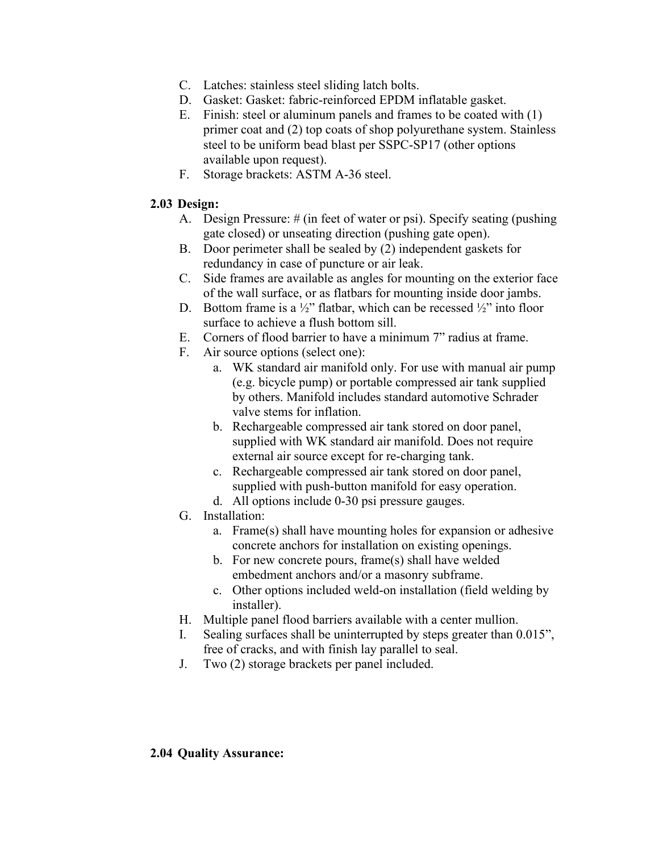- C. Latches: stainless steel sliding latch bolts.
- D. Gasket: Gasket: fabric-reinforced EPDM inflatable gasket.
- E. Finish: steel or aluminum panels and frames to be coated with (1) primer coat and (2) top coats of shop polyurethane system. Stainless steel to be uniform bead blast per SSPC-SP17 (other options available upon request).
- F. Storage brackets: ASTM A-36 steel.

#### **2.03 Design:**

- A. Design Pressure: # (in feet of water or psi). Specify seating (pushing gate closed) or unseating direction (pushing gate open).
- B. Door perimeter shall be sealed by (2) independent gaskets for redundancy in case of puncture or air leak.
- C. Side frames are available as angles for mounting on the exterior face of the wall surface, or as flatbars for mounting inside door jambs.
- D. Bottom frame is a  $\frac{1}{2}$ " flatbar, which can be recessed  $\frac{1}{2}$ " into floor surface to achieve a flush bottom sill.
- E. Corners of flood barrier to have a minimum 7" radius at frame.
- F. Air source options (select one):
	- a. WK standard air manifold only. For use with manual air pump (e.g. bicycle pump) or portable compressed air tank supplied by others. Manifold includes standard automotive Schrader valve stems for inflation.
	- b. Rechargeable compressed air tank stored on door panel, supplied with WK standard air manifold. Does not require external air source except for re-charging tank.
	- c. Rechargeable compressed air tank stored on door panel, supplied with push-button manifold for easy operation.
	- d. All options include 0-30 psi pressure gauges.
- G. Installation:
	- a. Frame(s) shall have mounting holes for expansion or adhesive concrete anchors for installation on existing openings.
	- b. For new concrete pours, frame(s) shall have welded embedment anchors and/or a masonry subframe.
	- c. Other options included weld-on installation (field welding by installer).
- H. Multiple panel flood barriers available with a center mullion.
- I. Sealing surfaces shall be uninterrupted by steps greater than 0.015", free of cracks, and with finish lay parallel to seal.
- J. Two (2) storage brackets per panel included.

#### **2.04 Quality Assurance:**